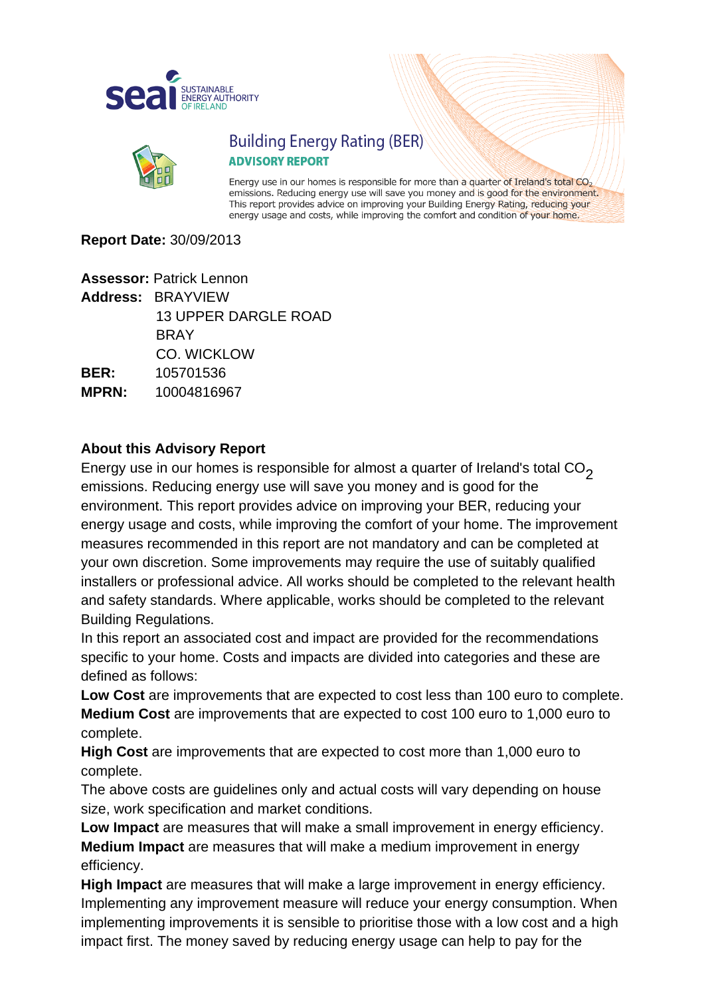



## **Building Energy Rating (BER) ADVISORY REPORT**

Energy use in our homes is responsible for more than a quarter of Ireland's total CO<sub>2</sub> emissions. Reducing energy use will save you money and is good for the environment. This report provides advice on improving your Building Energy Rating, reducing your energy usage and costs, while improving the comfort and condition of your home.

#### **Report Date:** 30/09/2013

**Assessor:** Patrick Lennon **Address:** BRAYVIEW 13 UPPER DARGLE ROAD **BRAY**  CO. WICKLOW **BER:** 105701536 **MPRN:** 10004816967

#### **About this Advisory Report**

Energy use in our homes is responsible for almost a quarter of Ireland's total  $CO<sub>2</sub>$ emissions. Reducing energy use will save you money and is good for the environment. This report provides advice on improving your BER, reducing your energy usage and costs, while improving the comfort of your home. The improvement measures recommended in this report are not mandatory and can be completed at your own discretion. Some improvements may require the use of suitably qualified installers or professional advice. All works should be completed to the relevant health and safety standards. Where applicable, works should be completed to the relevant Building Regulations.

In this report an associated cost and impact are provided for the recommendations specific to your home. Costs and impacts are divided into categories and these are defined as follows:

**Low Cost** are improvements that are expected to cost less than 100 euro to complete. **Medium Cost** are improvements that are expected to cost 100 euro to 1,000 euro to complete.

**High Cost** are improvements that are expected to cost more than 1,000 euro to complete.

The above costs are guidelines only and actual costs will vary depending on house size, work specification and market conditions.

**Low Impact** are measures that will make a small improvement in energy efficiency. **Medium Impact** are measures that will make a medium improvement in energy efficiency.

**High Impact** are measures that will make a large improvement in energy efficiency. Implementing any improvement measure will reduce your energy consumption. When implementing improvements it is sensible to prioritise those with a low cost and a high impact first. The money saved by reducing energy usage can help to pay for the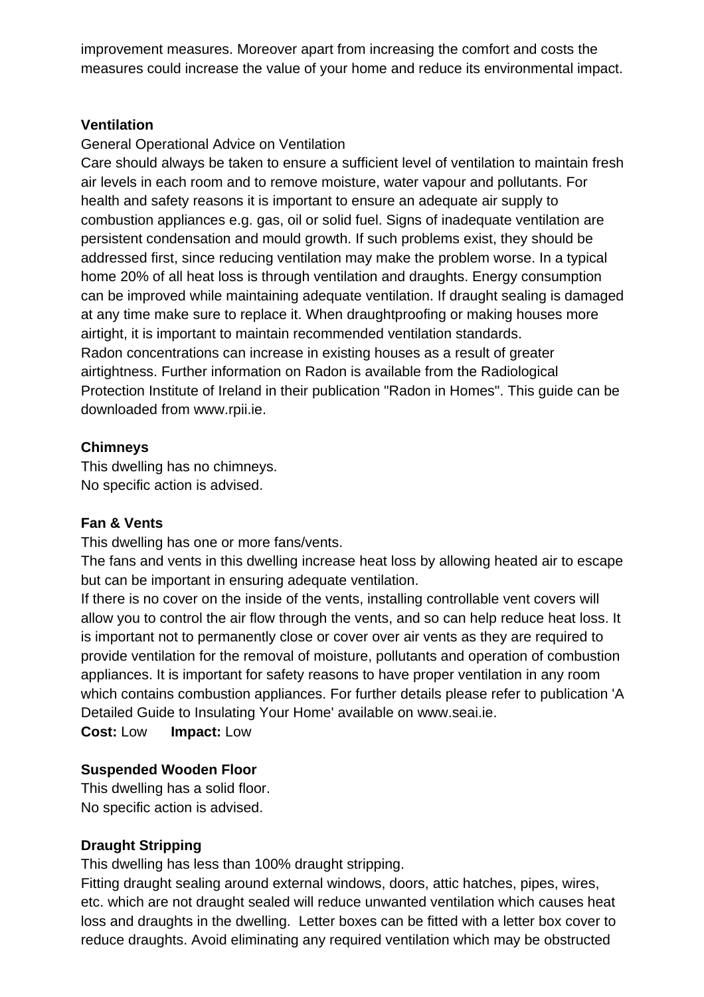improvement measures. Moreover apart from increasing the comfort and costs the measures could increase the value of your home and reduce its environmental impact.

#### **Ventilation**

#### General Operational Advice on Ventilation

Care should always be taken to ensure a sufficient level of ventilation to maintain fresh air levels in each room and to remove moisture, water vapour and pollutants. For health and safety reasons it is important to ensure an adequate air supply to combustion appliances e.g. gas, oil or solid fuel. Signs of inadequate ventilation are persistent condensation and mould growth. If such problems exist, they should be addressed first, since reducing ventilation may make the problem worse. In a typical home 20% of all heat loss is through ventilation and draughts. Energy consumption can be improved while maintaining adequate ventilation. If draught sealing is damaged at any time make sure to replace it. When draughtproofing or making houses more airtight, it is important to maintain recommended ventilation standards. Radon concentrations can increase in existing houses as a result of greater airtightness. Further information on Radon is available from the Radiological Protection Institute of Ireland in their publication "Radon in Homes". This guide can be downloaded from www.rpii.ie.

### **Chimneys**

This dwelling has no chimneys. No specific action is advised.

#### **Fan & Vents**

This dwelling has one or more fans/vents.

The fans and vents in this dwelling increase heat loss by allowing heated air to escape but can be important in ensuring adequate ventilation.

If there is no cover on the inside of the vents, installing controllable vent covers will allow you to control the air flow through the vents, and so can help reduce heat loss. It is important not to permanently close or cover over air vents as they are required to provide ventilation for the removal of moisture, pollutants and operation of combustion appliances. It is important for safety reasons to have proper ventilation in any room which contains combustion appliances. For further details please refer to publication 'A Detailed Guide to Insulating Your Home' available on [www.seai.ie.](http://www.seai.ie)

**Cost:** Low **Impact:** Low

## **Suspended Wooden Floor**

This dwelling has a solid floor. No specific action is advised.

## **Draught Stripping**

This dwelling has less than 100% draught stripping.

Fitting draught sealing around external windows, doors, attic hatches, pipes, wires, etc. which are not draught sealed will reduce unwanted ventilation which causes heat loss and draughts in the dwelling. Letter boxes can be fitted with a letter box cover to reduce draughts. Avoid eliminating any required ventilation which may be obstructed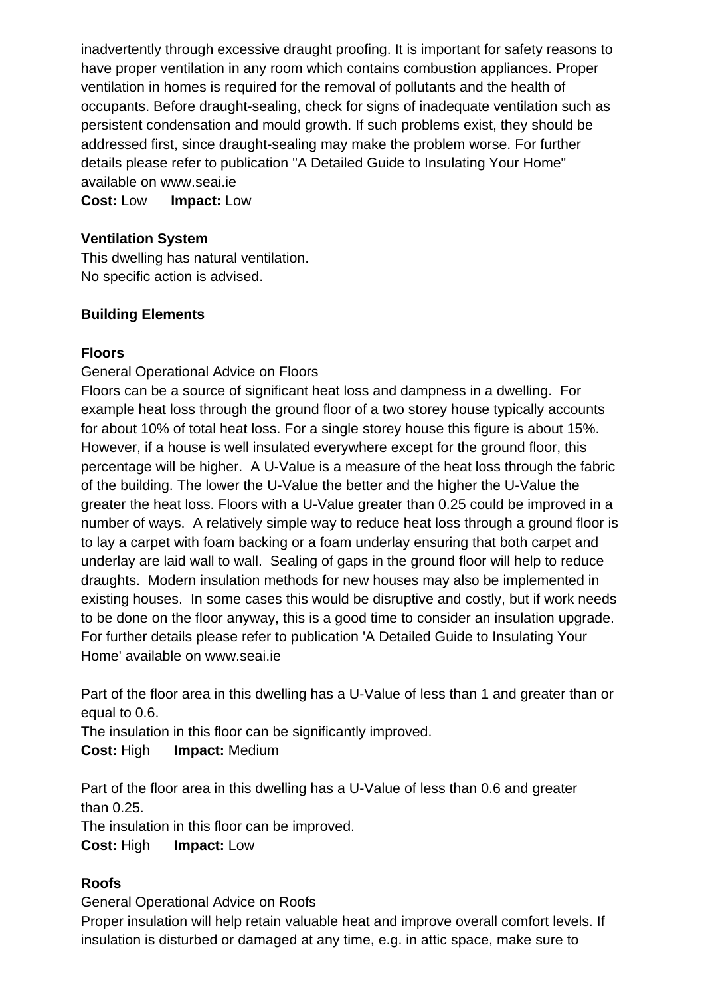inadvertently through excessive draught proofing. It is important for safety reasons to have proper ventilation in any room which contains combustion appliances. Proper ventilation in homes is required for the removal of pollutants and the health of occupants. Before draught-sealing, check for signs of inadequate ventilation such as persistent condensation and mould growth. If such problems exist, they should be addressed first, since draught-sealing may make the problem worse. For further details please refer to publication "A Detailed Guide to Insulating Your Home" available on [www.seai.ie](http://www.seai.ie)

**Cost:** Low **Impact:** Low

#### **Ventilation System**

This dwelling has natural ventilation. No specific action is advised.

### **Building Elements**

### **Floors**

General Operational Advice on Floors

Floors can be a source of significant heat loss and dampness in a dwelling. For example heat loss through the ground floor of a two storey house typically accounts for about 10% of total heat loss. For a single storey house this figure is about 15%. However, if a house is well insulated everywhere except for the ground floor, this percentage will be higher. A U-Value is a measure of the heat loss through the fabric of the building. The lower the U-Value the better and the higher the U-Value the greater the heat loss. Floors with a U-Value greater than 0.25 could be improved in a number of ways. A relatively simple way to reduce heat loss through a ground floor is to lay a carpet with foam backing or a foam underlay ensuring that both carpet and underlay are laid wall to wall. Sealing of gaps in the ground floor will help to reduce draughts. Modern insulation methods for new houses may also be implemented in existing houses. In some cases this would be disruptive and costly, but if work needs to be done on the floor anyway, this is a good time to consider an insulation upgrade. For further details please refer to publication 'A Detailed Guide to Insulating Your Home' available on [www.seai.ie](http://www.seai.ie)

Part of the floor area in this dwelling has a U-Value of less than 1 and greater than or equal to 0.6.

The insulation in this floor can be significantly improved.

**Cost:** High **Impact:** Medium

Part of the floor area in this dwelling has a U-Value of less than 0.6 and greater than 0.25.

The insulation in this floor can be improved.

**Cost:** High **Impact:** Low

## **Roofs**

General Operational Advice on Roofs

Proper insulation will help retain valuable heat and improve overall comfort levels. If insulation is disturbed or damaged at any time, e.g. in attic space, make sure to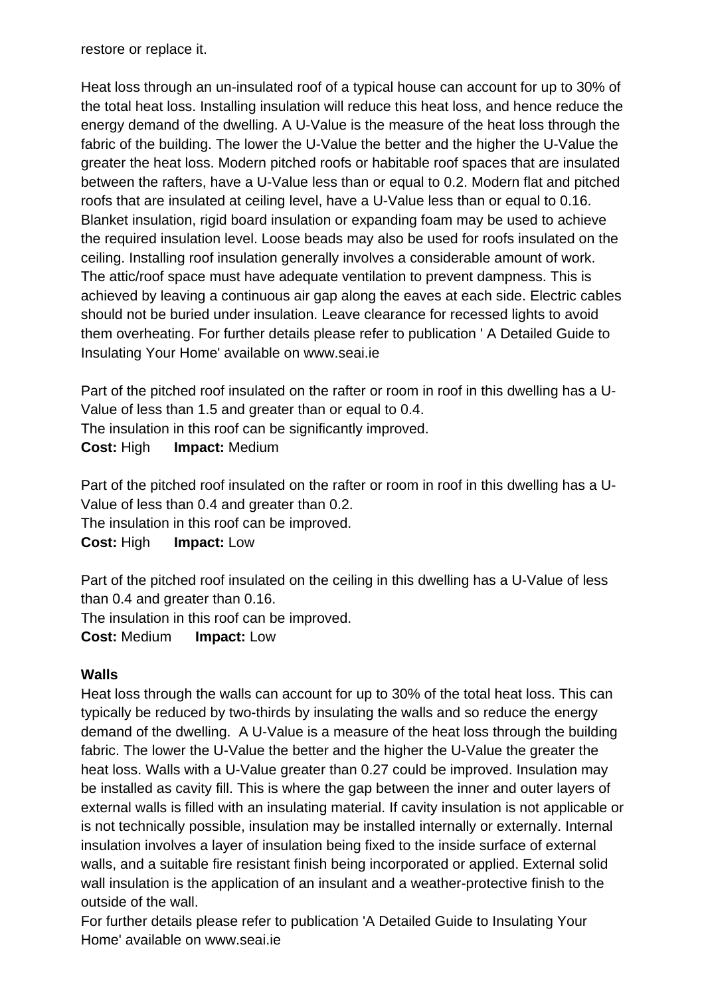restore or replace it.

Heat loss through an un-insulated roof of a typical house can account for up to 30% of the total heat loss. Installing insulation will reduce this heat loss, and hence reduce the energy demand of the dwelling. A U-Value is the measure of the heat loss through the fabric of the building. The lower the U-Value the better and the higher the U-Value the greater the heat loss. Modern pitched roofs or habitable roof spaces that are insulated between the rafters, have a U-Value less than or equal to 0.2. Modern flat and pitched roofs that are insulated at ceiling level, have a U-Value less than or equal to 0.16. Blanket insulation, rigid board insulation or expanding foam may be used to achieve the required insulation level. Loose beads may also be used for roofs insulated on the ceiling. Installing roof insulation generally involves a considerable amount of work. The attic/roof space must have adequate ventilation to prevent dampness. This is achieved by leaving a continuous air gap along the eaves at each side. Electric cables should not be buried under insulation. Leave clearance for recessed lights to avoid them overheating. For further details please refer to publication ' A Detailed Guide to Insulating Your Home' available on [www.seai.ie](http://www.seai.ie)

Part of the pitched roof insulated on the rafter or room in roof in this dwelling has a U-Value of less than 1.5 and greater than or equal to 0.4. The insulation in this roof can be significantly improved. **Cost:** High **Impact:** Medium

Part of the pitched roof insulated on the rafter or room in roof in this dwelling has a U-Value of less than 0.4 and greater than 0.2. The insulation in this roof can be improved.

**Cost:** High **Impact:** Low

Part of the pitched roof insulated on the ceiling in this dwelling has a U-Value of less than 0.4 and greater than 0.16.

The insulation in this roof can be improved.

**Cost:** Medium **Impact:** Low

#### **Walls**

Heat loss through the walls can account for up to 30% of the total heat loss. This can typically be reduced by two-thirds by insulating the walls and so reduce the energy demand of the dwelling. A U-Value is a measure of the heat loss through the building fabric. The lower the U-Value the better and the higher the U-Value the greater the heat loss. Walls with a U-Value greater than 0.27 could be improved. Insulation may be installed as cavity fill. This is where the gap between the inner and outer layers of external walls is filled with an insulating material. If cavity insulation is not applicable or is not technically possible, insulation may be installed internally or externally. Internal insulation involves a layer of insulation being fixed to the inside surface of external walls, and a suitable fire resistant finish being incorporated or applied. External solid wall insulation is the application of an insulant and a weather-protective finish to the outside of the wall.

For further details please refer to publication 'A Detailed Guide to Insulating Your Home' available on [www.seai.ie](http://www.seai.ie)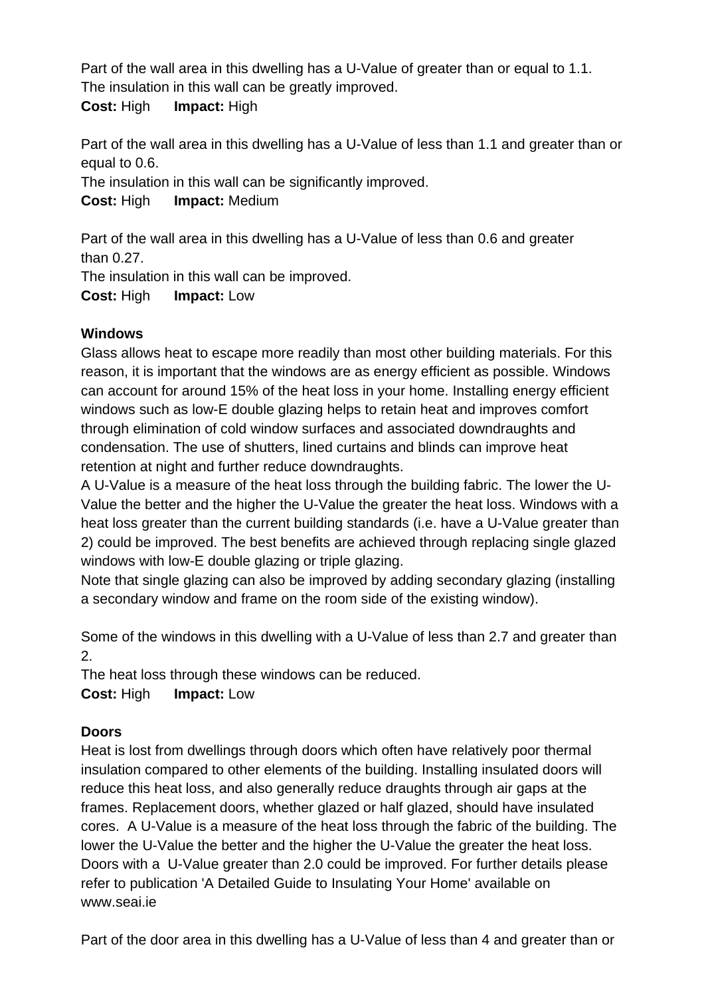Part of the wall area in this dwelling has a U-Value of greater than or equal to 1.1. The insulation in this wall can be greatly improved.

**Cost:** High **Impact:** High

Part of the wall area in this dwelling has a U-Value of less than 1.1 and greater than or equal to 0.6.

The insulation in this wall can be significantly improved.

**Cost:** High **Impact:** Medium

Part of the wall area in this dwelling has a U-Value of less than 0.6 and greater than 0.27.

The insulation in this wall can be improved.

**Cost:** High **Impact:** Low

## **Windows**

Glass allows heat to escape more readily than most other building materials. For this reason, it is important that the windows are as energy efficient as possible. Windows can account for around 15% of the heat loss in your home. Installing energy efficient windows such as low-E double glazing helps to retain heat and improves comfort through elimination of cold window surfaces and associated downdraughts and condensation. The use of shutters, lined curtains and blinds can improve heat retention at night and further reduce downdraughts.

A U-Value is a measure of the heat loss through the building fabric. The lower the U-Value the better and the higher the U-Value the greater the heat loss. Windows with a heat loss greater than the current building standards (i.e. have a U-Value greater than 2) could be improved. The best benefits are achieved through replacing single glazed windows with low-E double glazing or triple glazing.

Note that single glazing can also be improved by adding secondary glazing (installing a secondary window and frame on the room side of the existing window).

Some of the windows in this dwelling with a U-Value of less than 2.7 and greater than 2.

The heat loss through these windows can be reduced.

**Cost:** High **Impact:** Low

## **Doors**

Heat is lost from dwellings through doors which often have relatively poor thermal insulation compared to other elements of the building. Installing insulated doors will reduce this heat loss, and also generally reduce draughts through air gaps at the frames. Replacement doors, whether glazed or half glazed, should have insulated cores. A U-Value is a measure of the heat loss through the fabric of the building. The lower the U-Value the better and the higher the U-Value the greater the heat loss. Doors with a U-Value greater than 2.0 could be improved. For further details please refer to publication 'A Detailed Guide to Insulating Your Home' available on [www.seai.ie](http://www.seai.ie)

Part of the door area in this dwelling has a U-Value of less than 4 and greater than or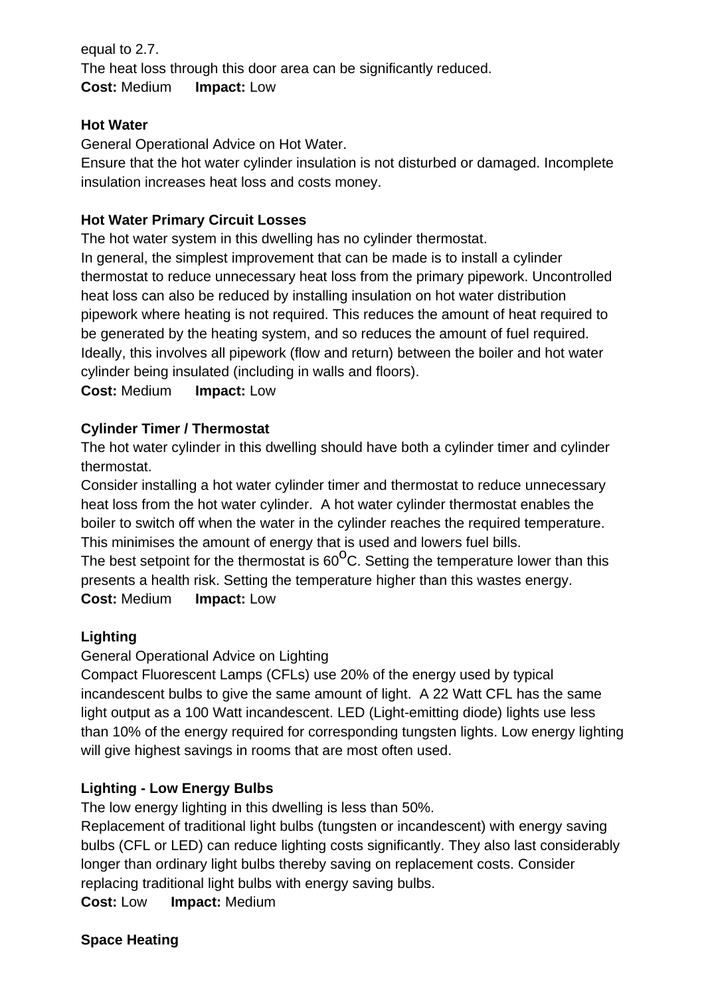equal to 2.7. The heat loss through this door area can be significantly reduced. **Cost:** Medium **Impact:** Low

#### **Hot Water**

General Operational Advice on Hot Water.

Ensure that the hot water cylinder insulation is not disturbed or damaged. Incomplete insulation increases heat loss and costs money.

### **Hot Water Primary Circuit Losses**

The hot water system in this dwelling has no cylinder thermostat.

In general, the simplest improvement that can be made is to install a cylinder thermostat to reduce unnecessary heat loss from the primary pipework. Uncontrolled heat loss can also be reduced by installing insulation on hot water distribution pipework where heating is not required. This reduces the amount of heat required to be generated by the heating system, and so reduces the amount of fuel required. Ideally, this involves all pipework (flow and return) between the boiler and hot water cylinder being insulated (including in walls and floors).

**Cost:** Medium **Impact:** Low

## **Cylinder Timer / Thermostat**

The hot water cylinder in this dwelling should have both a cylinder timer and cylinder thermostat.

Consider installing a hot water cylinder timer and thermostat to reduce unnecessary heat loss from the hot water cylinder. A hot water cylinder thermostat enables the boiler to switch off when the water in the cylinder reaches the required temperature. This minimises the amount of energy that is used and lowers fuel bills.

The best setpoint for the thermostat is  $60^{\circ}$ C. Setting the temperature lower than this presents a health risk. Setting the temperature higher than this wastes energy. **Cost:** Medium **Impact:** Low

## **Lighting**

General Operational Advice on Lighting

Compact Fluorescent Lamps (CFLs) use 20% of the energy used by typical incandescent bulbs to give the same amount of light. A 22 Watt CFL has the same light output as a 100 Watt incandescent. LED (Light-emitting diode) lights use less than 10% of the energy required for corresponding tungsten lights. Low energy lighting will give highest savings in rooms that are most often used.

## **Lighting - Low Energy Bulbs**

The low energy lighting in this dwelling is less than 50%.

Replacement of traditional light bulbs (tungsten or incandescent) with energy saving bulbs (CFL or LED) can reduce lighting costs significantly. They also last considerably longer than ordinary light bulbs thereby saving on replacement costs. Consider replacing traditional light bulbs with energy saving bulbs.

**Cost:** Low **Impact:** Medium

**Space Heating**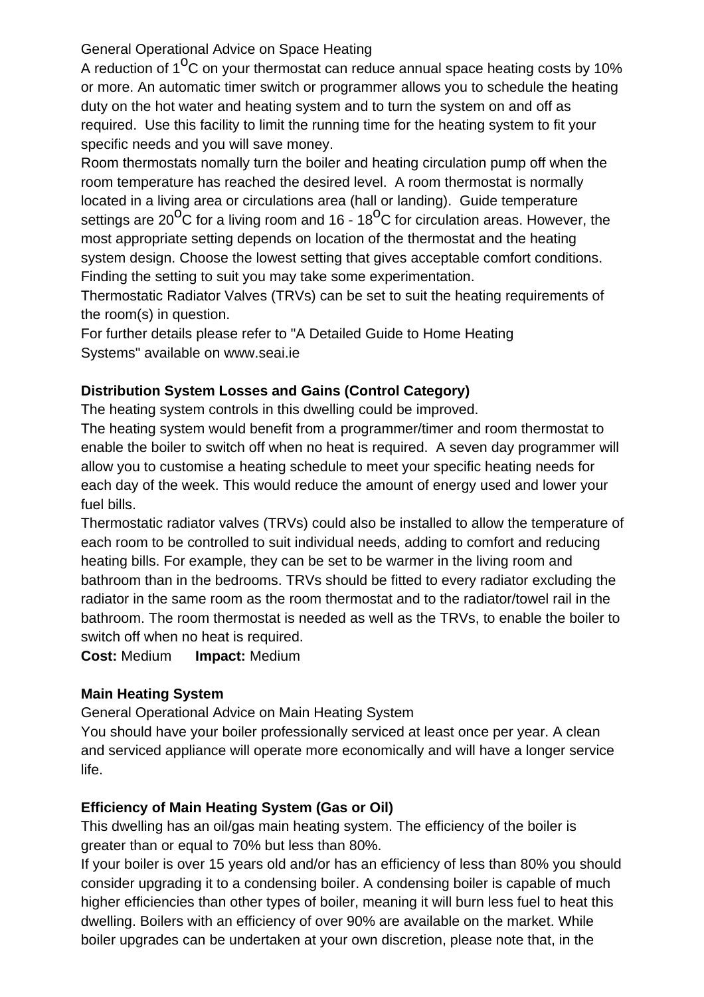### General Operational Advice on Space Heating

A reduction of  $1^{0}$ C on your thermostat can reduce annual space heating costs by 10% or more. An automatic timer switch or programmer allows you to schedule the heating duty on the hot water and heating system and to turn the system on and off as required. Use this facility to limit the running time for the heating system to fit your specific needs and you will save money.

Room thermostats nomally turn the boiler and heating circulation pump off when the room temperature has reached the desired level. A room thermostat is normally located in a living area or circulations area (hall or landing). Guide temperature settings are 20 $\overline{^0C}$  for a living room and 16 - 18 $\overline{^0C}$  for circulation areas. However, the most appropriate setting depends on location of the thermostat and the heating system design. Choose the lowest setting that gives acceptable comfort conditions. Finding the setting to suit you may take some experimentation.

Thermostatic Radiator Valves (TRVs) can be set to suit the heating requirements of the room(s) in question.

For further details please refer to "A Detailed Guide to Home Heating Systems" available on [www.seai.ie](http://www.seai.ie)

## **Distribution System Losses and Gains (Control Category)**

The heating system controls in this dwelling could be improved.

The heating system would benefit from a programmer/timer and room thermostat to enable the boiler to switch off when no heat is required. A seven day programmer will allow you to customise a heating schedule to meet your specific heating needs for each day of the week. This would reduce the amount of energy used and lower your fuel bills.

Thermostatic radiator valves (TRVs) could also be installed to allow the temperature of each room to be controlled to suit individual needs, adding to comfort and reducing heating bills. For example, they can be set to be warmer in the living room and bathroom than in the bedrooms. TRVs should be fitted to every radiator excluding the radiator in the same room as the room thermostat and to the radiator/towel rail in the bathroom. The room thermostat is needed as well as the TRVs, to enable the boiler to switch off when no heat is required.

**Cost:** Medium **Impact:** Medium

## **Main Heating System**

General Operational Advice on Main Heating System

You should have your boiler professionally serviced at least once per year. A clean and serviced appliance will operate more economically and will have a longer service life.

# **Efficiency of Main Heating System (Gas or Oil)**

This dwelling has an oil/gas main heating system. The efficiency of the boiler is greater than or equal to 70% but less than 80%.

If your boiler is over 15 years old and/or has an efficiency of less than 80% you should consider upgrading it to a condensing boiler. A condensing boiler is capable of much higher efficiencies than other types of boiler, meaning it will burn less fuel to heat this dwelling. Boilers with an efficiency of over 90% are available on the market. While boiler upgrades can be undertaken at your own discretion, please note that, in the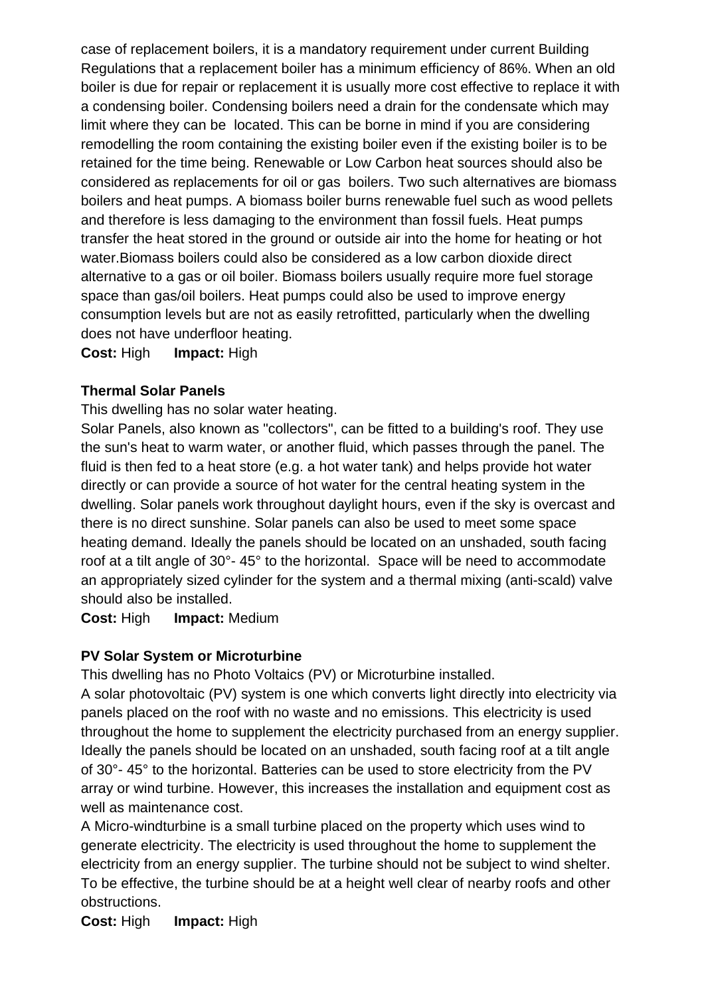case of replacement boilers, it is a mandatory requirement under current Building Regulations that a replacement boiler has a minimum efficiency of 86%. When an old boiler is due for repair or replacement it is usually more cost effective to replace it with a condensing boiler. Condensing boilers need a drain for the condensate which may limit where they can be located. This can be borne in mind if you are considering remodelling the room containing the existing boiler even if the existing boiler is to be retained for the time being. Renewable or Low Carbon heat sources should also be considered as replacements for oil or gas boilers. Two such alternatives are biomass boilers and heat pumps. A biomass boiler burns renewable fuel such as wood pellets and therefore is less damaging to the environment than fossil fuels. Heat pumps transfer the heat stored in the ground or outside air into the home for heating or hot water.Biomass boilers could also be considered as a low carbon dioxide direct alternative to a gas or oil boiler. Biomass boilers usually require more fuel storage space than gas/oil boilers. Heat pumps could also be used to improve energy consumption levels but are not as easily retrofitted, particularly when the dwelling does not have underfloor heating.

**Cost:** High **Impact:** High

#### **Thermal Solar Panels**

This dwelling has no solar water heating.

Solar Panels, also known as "collectors", can be fitted to a building's roof. They use the sun's heat to warm water, or another fluid, which passes through the panel. The fluid is then fed to a heat store (e.g. a hot water tank) and helps provide hot water directly or can provide a source of hot water for the central heating system in the dwelling. Solar panels work throughout daylight hours, even if the sky is overcast and there is no direct sunshine. Solar panels can also be used to meet some space heating demand. Ideally the panels should be located on an unshaded, south facing roof at a tilt angle of 30°- 45° to the horizontal. Space will be need to accommodate an appropriately sized cylinder for the system and a thermal mixing (anti-scald) valve should also be installed.

**Cost:** High **Impact:** Medium

#### **PV Solar System or Microturbine**

This dwelling has no Photo Voltaics (PV) or Microturbine installed.

A solar photovoltaic (PV) system is one which converts light directly into electricity via panels placed on the roof with no waste and no emissions. This electricity is used throughout the home to supplement the electricity purchased from an energy supplier. Ideally the panels should be located on an unshaded, south facing roof at a tilt angle of 30°- 45° to the horizontal. Batteries can be used to store electricity from the PV array or wind turbine. However, this increases the installation and equipment cost as well as maintenance cost.

A Micro-windturbine is a small turbine placed on the property which uses wind to generate electricity. The electricity is used throughout the home to supplement the electricity from an energy supplier. The turbine should not be subject to wind shelter. To be effective, the turbine should be at a height well clear of nearby roofs and other obstructions.

**Cost:** High **Impact:** High